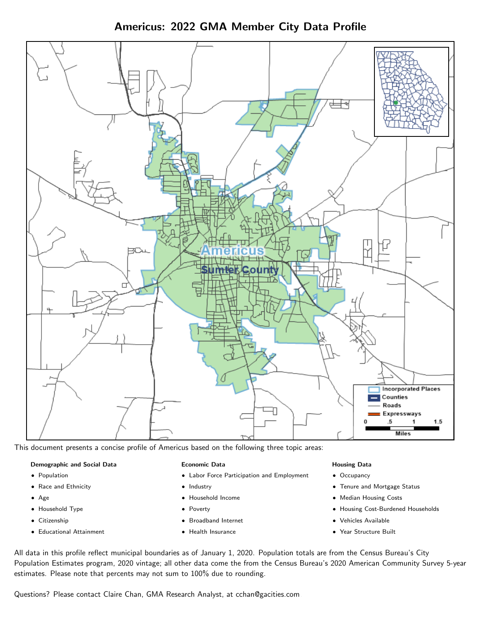Americus: 2022 GMA Member City Data Profile



This document presents a concise profile of Americus based on the following three topic areas:

## Demographic and Social Data

- **•** Population
- Race and Ethnicity
- Age
- Household Type
- **Citizenship**
- Educational Attainment

## Economic Data

- Labor Force Participation and Employment
- Industry
- Household Income
- Poverty
- Broadband Internet
- Health Insurance

## Housing Data

- Occupancy
- Tenure and Mortgage Status
- Median Housing Costs
- Housing Cost-Burdened Households
- Vehicles Available
- Year Structure Built

All data in this profile reflect municipal boundaries as of January 1, 2020. Population totals are from the Census Bureau's City Population Estimates program, 2020 vintage; all other data come the from the Census Bureau's 2020 American Community Survey 5-year estimates. Please note that percents may not sum to 100% due to rounding.

Questions? Please contact Claire Chan, GMA Research Analyst, at [cchan@gacities.com.](mailto:cchan@gacities.com)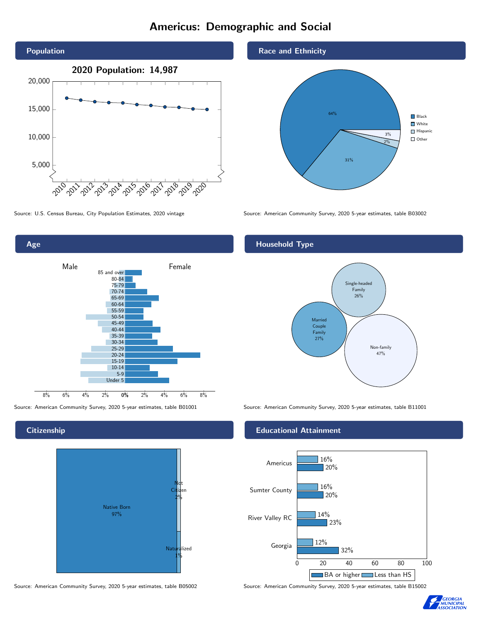# Americus: Demographic and Social





**Citizenship** 



Source: American Community Survey, 2020 5-year estimates, table B05002 Source: American Community Survey, 2020 5-year estimates, table B15002





Source: U.S. Census Bureau, City Population Estimates, 2020 vintage Source: American Community Survey, 2020 5-year estimates, table B03002

## Household Type



Source: American Community Survey, 2020 5-year estimates, table B01001 Source: American Community Survey, 2020 5-year estimates, table B11001

## Educational Attainment



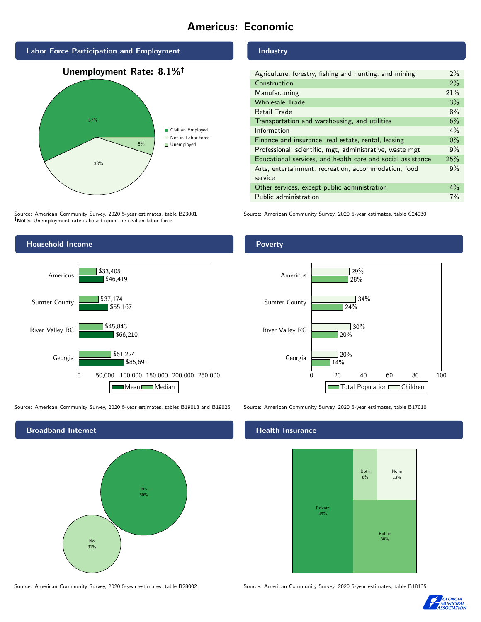# Americus: Economic



# 38% 5% Civilian Employed ■ Not in Labor force **Unemployed**

Source: American Community Survey, 2020 5-year estimates, table B23001 Note: Unemployment rate is based upon the civilian labor force.



| Agriculture, forestry, fishing and hunting, and mining      | $2\%$ |
|-------------------------------------------------------------|-------|
| Construction                                                | 2%    |
| Manufacturing                                               | 21%   |
| <b>Wholesale Trade</b>                                      | 3%    |
| Retail Trade                                                | 8%    |
| Transportation and warehousing, and utilities               | 6%    |
| Information                                                 | $4\%$ |
| Finance and insurance, real estate, rental, leasing         | $0\%$ |
| Professional, scientific, mgt, administrative, waste mgt    | 9%    |
| Educational services, and health care and social assistance | 25%   |
| Arts, entertainment, recreation, accommodation, food        | 9%    |
| service                                                     |       |
| Other services, except public administration                | $4\%$ |
| Public administration                                       | $7\%$ |

Source: American Community Survey, 2020 5-year estimates, table C24030







Source: American Community Survey, 2020 5-year estimates, table B28002 Source: American Community Survey, 2020 5-year estimates, table B18135

Poverty



## Health Insurance